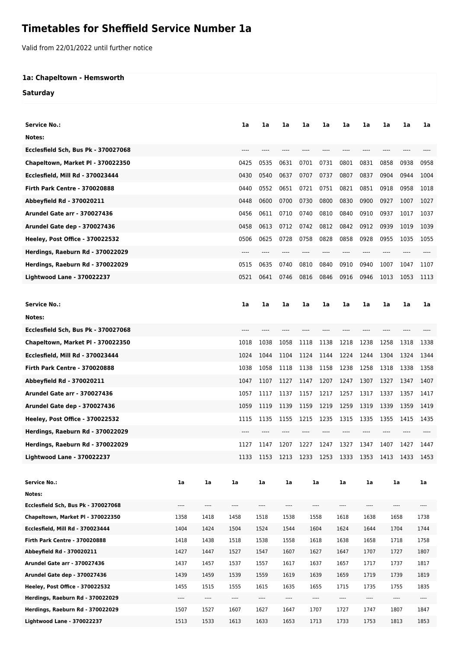## **Timetables for Sheffield Service Number 1a**

Valid from 22/01/2022 until further notice

## **1a: Chapeltown - Hemsworth**

**Saturday**

| Service No.:                           |                          |          | 1a       | 1a       | 1a                       | 1a       | 1a       | 1a       | 1a       | 1a       | 1a   | 1a       |
|----------------------------------------|--------------------------|----------|----------|----------|--------------------------|----------|----------|----------|----------|----------|------|----------|
|                                        |                          |          |          |          |                          |          |          |          |          |          |      |          |
| Notes:                                 |                          |          |          |          |                          |          |          |          |          |          |      |          |
| Ecclesfield Sch, Bus Pk - 370027068    |                          |          |          |          |                          |          |          |          |          |          |      |          |
| Chapeltown, Market PI - 370022350      |                          |          | 0425     | 0535     | 0631                     | 0701     | 0731     | 0801     | 0831     | 0858     | 0938 | 0958     |
| Ecclesfield, Mill Rd - 370023444       |                          |          | 0430     | 0540     | 0637                     | 0707     | 0737     | 0807     | 0837     | 0904     | 0944 | 1004     |
| <b>Firth Park Centre - 370020888</b>   |                          |          | 0440     | 0552     | 0651                     | 0721     | 0751     | 0821     | 0851     | 0918     | 0958 | 1018     |
| Abbeyfield Rd - 370020211              |                          |          | 0448     | 0600     | 0700                     | 0730     | 0800     | 0830     | 0900     | 0927     | 1007 | 1027     |
| Arundel Gate arr - 370027436           |                          |          | 0456     | 0611     | 0710                     | 0740     | 0810     | 0840     | 0910     | 0937     | 1017 | 1037     |
| Arundel Gate dep - 370027436           |                          |          | 0458     | 0613     | 0712                     | 0742     | 0812     | 0842     | 0912     | 0939     | 1019 | 1039     |
| <b>Heeley, Post Office - 370022532</b> |                          |          | 0506     | 0625     | 0728                     | 0758     | 0828     | 0858     | 0928     | 0955     | 1035 | 1055     |
| Herdings, Raeburn Rd - 370022029       |                          |          |          |          |                          |          |          |          |          |          |      |          |
| Herdings, Raeburn Rd - 370022029       |                          |          | 0515     | 0635     | 0740                     | 0810     | 0840     | 0910     | 0940     | 1007     | 1047 | 1107     |
| <b>Lightwood Lane - 370022237</b>      |                          |          | 0521     | 0641     | 0746                     | 0816     | 0846     | 0916     | 0946     | 1013     | 1053 | 1113     |
|                                        |                          |          |          |          |                          |          |          |          |          |          |      |          |
| <b>Service No.:</b>                    |                          |          | 1a       | 1a       | 1a                       | 1a       | 1a       | 1a       | 1a       | 1a       | 1a   | 1a       |
| Notes:                                 |                          |          |          |          |                          |          |          |          |          |          |      |          |
| Ecclesfield Sch, Bus Pk - 370027068    |                          |          | ----     |          |                          |          |          |          |          |          |      |          |
| Chapeltown, Market PI - 370022350      |                          |          | 1018     | 1038     | 1058                     | 1118     | 1138     | 1218     | 1238     | 1258     | 1318 | 1338     |
| Ecclesfield, Mill Rd - 370023444       |                          |          | 1024     | 1044     | 1104                     | 1124     | 1144     | 1224     | 1244     | 1304     | 1324 | 1344     |
| <b>Firth Park Centre - 370020888</b>   |                          |          | 1038     | 1058     | 1118                     | 1138     | 1158     | 1238     | 1258     | 1318     | 1338 | 1358     |
| Abbeyfield Rd - 370020211              |                          |          | 1047     | 1107     | 1127                     | 1147     | 1207     | 1247     | 1307     | 1327     | 1347 | 1407     |
| <b>Arundel Gate arr - 370027436</b>    |                          |          | 1057     | 1117     | 1137                     | 1157     | 1217     | 1257     | 1317     | 1337     | 1357 | 1417     |
| <b>Arundel Gate dep - 370027436</b>    |                          |          | 1059     | 1119     | 1139                     | 1159     | 1219     | 1259     | 1319     | 1339     | 1359 | 1419     |
| <b>Heeley, Post Office - 370022532</b> |                          |          | 1115     | 1135     | 1155                     | 1215     | 1235     | 1315     | 1335     | 1355     | 1415 | 1435     |
| Herdings, Raeburn Rd - 370022029       |                          |          | ----     | ----     |                          |          |          | $---$    | $---$    | ----     |      |          |
| Herdings, Raeburn Rd - 370022029       |                          |          | 1127     | 1147     | 1207                     | 1227     | 1247     | 1327     | 1347     | 1407     | 1427 | 1447     |
| <b>Lightwood Lane - 370022237</b>      |                          |          | 1133     | 1153     | 1213                     | 1233     | 1253     | 1333     | 1353     | 1413     | 1433 | 1453     |
|                                        |                          |          |          |          |                          |          |          |          |          |          |      |          |
| <b>Service No.:</b>                    | 1a                       | 1a       | 1a       | 1a       | 1a                       |          | 1a       | 1a       | 1a       |          | 1a   | 1a       |
| Notes:                                 |                          |          |          |          |                          |          |          |          |          |          |      |          |
| Ecclesfield Sch, Bus Pk - 370027068    | $\cdots$                 | $\cdots$ | $\cdots$ | $\cdots$ | ----                     | $\cdots$ |          | $\cdots$ | ----     | $\cdots$ |      | $\cdots$ |
| Chapeltown, Market PI - 370022350      | 1358                     | 1418     | 1458     | 1518     | 1538                     |          | 1558     | 1618     | 1638     | 1658     |      | 1738     |
| Ecclesfield, Mill Rd - 370023444       | 1404                     | 1424     | 1504     | 1524     | 1544                     |          | 1604     | 1624     | 1644     | 1704     |      | 1744     |
| <b>Firth Park Centre - 370020888</b>   | 1418                     | 1438     | 1518     | 1538     | 1558                     |          | 1618     | 1638     | 1658     | 1718     |      | 1758     |
| Abbeyfield Rd - 370020211              | 1427                     | 1447     | 1527     | 1547     | 1607                     |          | 1627     | 1647     | 1707     | 1727     |      | 1807     |
| <b>Arundel Gate arr - 370027436</b>    | 1437                     | 1457     | 1537     | 1557     | 1617                     |          | 1637     | 1657     | 1717     | 1737     |      | 1817     |
| Arundel Gate dep - 370027436           | 1439                     | 1459     | 1539     | 1559     | 1619                     |          | 1639     | 1659     | 1719     | 1739     |      | 1819     |
| Heeley, Post Office - 370022532        | 1455                     | 1515     | 1555     | 1615     | 1635                     |          | 1655     | 1715     | 1735     | 1755     |      | 1835     |
| Herdings, Raeburn Rd - 370022029       | $\overline{\phantom{a}}$ | $\cdots$ | $\cdots$ | $\cdots$ | $\overline{\phantom{a}}$ |          | $\cdots$ | $\cdots$ | $\cdots$ | $\cdots$ |      | $\cdots$ |
| Herdings, Raeburn Rd - 370022029       | 1507                     | 1527     | 1607     | 1627     | 1647                     |          | 1707     | 1727     | 1747     | 1807     |      | 1847     |
| <b>Lightwood Lane - 370022237</b>      | 1513                     | 1533     | 1613     | 1633     | 1653                     |          | 1713     | 1733     | 1753     | 1813     |      | 1853     |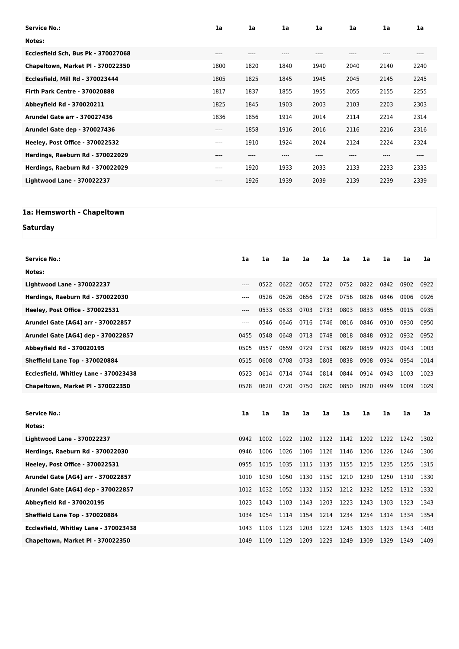| 1a    | 1a      | 1a    | 1a   | 1a        | 1a   | 1a    |
|-------|---------|-------|------|-----------|------|-------|
|       |         |       |      |           |      |       |
| $---$ | $--- -$ | ----  | ---- | $---$     | ---- | $---$ |
| 1800  | 1820    | 1840  | 1940 | 2040      | 2140 | 2240  |
| 1805  | 1825    | 1845  | 1945 | 2045      | 2145 | 2245  |
| 1817  | 1837    | 1855  | 1955 | 2055      | 2155 | 2255  |
| 1825  | 1845    | 1903  | 2003 | 2103      | 2203 | 2303  |
| 1836  | 1856    | 1914  | 2014 | 2114      | 2214 | 2314  |
| ----  | 1858    | 1916  | 2016 | 2116      | 2216 | 2316  |
| ----  | 1910    | 1924  | 2024 | 2124      | 2224 | 2324  |
| $---$ | $---$   | $---$ | ---- | $- - - -$ | ---- | $---$ |
| $---$ | 1920    | 1933  | 2033 | 2133      | 2233 | 2333  |
| ----  | 1926    | 1939  | 2039 | 2139      | 2239 | 2339  |
|       |         |       |      |           |      |       |

## **1a: Hemsworth - Chapeltown**

## **Saturday**

| <b>Service No.:</b>                   | 1a   | 1a   | 1a   | 1a   | 1a   | 1a   | 1a   | 1a   | 1a   | 1a   |
|---------------------------------------|------|------|------|------|------|------|------|------|------|------|
| Notes:                                |      |      |      |      |      |      |      |      |      |      |
| <b>Lightwood Lane - 370022237</b>     | ---- | 0522 | 0622 | 0652 | 0722 | 0752 | 0822 | 0842 | 0902 | 0922 |
| Herdings, Raeburn Rd - 370022030      | ---- | 0526 | 0626 | 0656 | 0726 | 0756 | 0826 | 0846 | 0906 | 0926 |
| Heeley, Post Office - 370022531       | ---- | 0533 | 0633 | 0703 | 0733 | 0803 | 0833 | 0855 | 0915 | 0935 |
| Arundel Gate [AG4] arr - 370022857    | ---- | 0546 | 0646 | 0716 | 0746 | 0816 | 0846 | 0910 | 0930 | 0950 |
| Arundel Gate [AG4] dep - 370022857    | 0455 | 0548 | 0648 | 0718 | 0748 | 0818 | 0848 | 0912 | 0932 | 0952 |
| Abbeyfield Rd - 370020195             | 0505 | 0557 | 0659 | 0729 | 0759 | 0829 | 0859 | 0923 | 0943 | 1003 |
| Sheffield Lane Top - 370020884        | 0515 | 0608 | 0708 | 0738 | 0808 | 0838 | 0908 | 0934 | 0954 | 1014 |
| Ecclesfield, Whitley Lane - 370023438 | 0523 | 0614 | 0714 | 0744 | 0814 | 0844 | 0914 | 0943 | 1003 | 1023 |
| Chapeltown, Market PI - 370022350     | 0528 | 0620 | 0720 | 0750 | 0820 | 0850 | 0920 | 0949 | 1009 | 1029 |
|                                       |      |      |      |      |      |      |      |      |      |      |
|                                       |      |      |      |      |      |      |      |      |      |      |
| <b>Service No.:</b>                   | 1a   | 1a   | 1a   | 1a   | 1a   | 1a   | 1a   | 1a   | 1a   | 1a   |
| Notes:                                |      |      |      |      |      |      |      |      |      |      |
| <b>Lightwood Lane - 370022237</b>     | 0942 | 1002 | 1022 | 1102 | 1122 | 1142 | 1202 | 1222 | 1242 | 1302 |
| Herdings, Raeburn Rd - 370022030      | 0946 | 1006 | 1026 | 1106 | 1126 | 1146 | 1206 | 1226 | 1246 | 1306 |
| Heeley, Post Office - 370022531       | 0955 | 1015 | 1035 | 1115 | 1135 | 1155 | 1215 | 1235 | 1255 | 1315 |
| Arundel Gate [AG4] arr - 370022857    | 1010 | 1030 | 1050 | 1130 | 1150 | 1210 | 1230 | 1250 | 1310 | 1330 |
| Arundel Gate [AG4] dep - 370022857    | 1012 | 1032 | 1052 | 1132 | 1152 | 1212 | 1232 | 1252 | 1312 | 1332 |
| Abbeyfield Rd - 370020195             | 1023 | 1043 | 1103 | 1143 | 1203 | 1223 | 1243 | 1303 | 1323 | 1343 |
| Sheffield Lane Top - 370020884        | 1034 | 1054 | 1114 | 1154 | 1214 | 1234 | 1254 | 1314 | 1334 | 1354 |
| Ecclesfield, Whitley Lane - 370023438 | 1043 | 1103 | 1123 | 1203 | 1223 | 1243 | 1303 | 1323 | 1343 | 1403 |